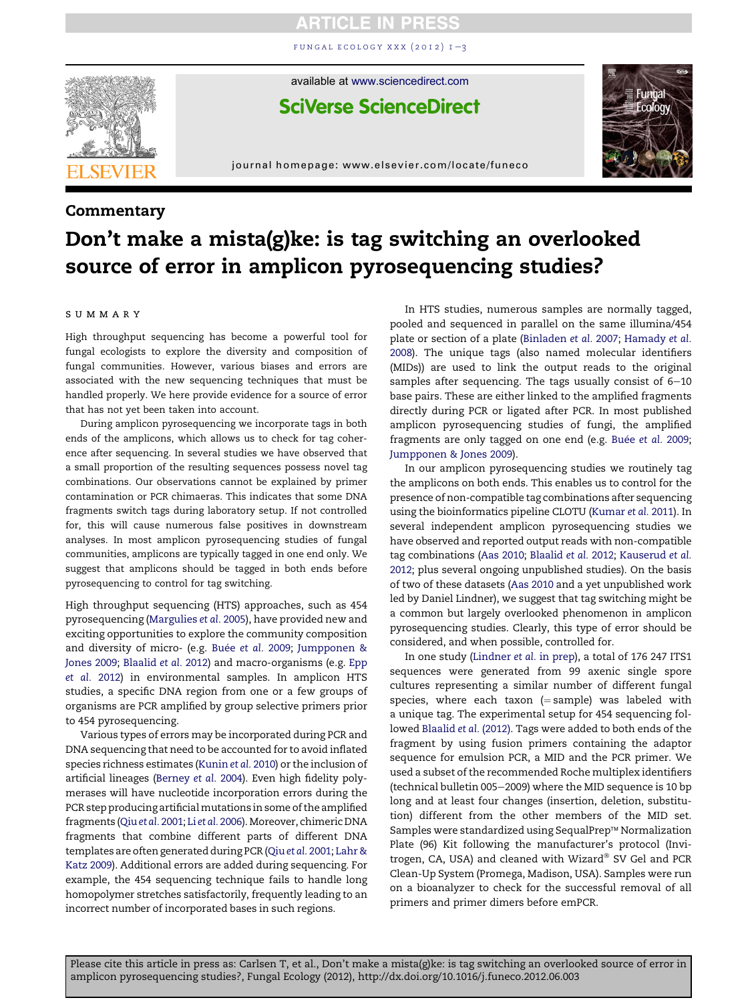## **ARTICLE IN PRESS**

FUNGAL ECOLOGY XXX  $(2012)$   $I=3$  $I=3$ 



available at [www.sciencedirect.com](www.sciencedirect.com/science/journal/17545048)

**SciVerse ScienceDirect** 

journal homepage: [www.elsevier.com/locate/funeco](http://www.elsevier.com/locate/funeco)

### **Commentary**

# Don't make a mista(g)ke: is tag switching an overlooked source of error in amplicon pyrosequencing studies?

#### SUMMARY

High throughput sequencing has become a powerful tool for fungal ecologists to explore the diversity and composition of fungal communities. However, various biases and errors are associated with the new sequencing techniques that must be handled properly. We here provide evidence for a source of error that has not yet been taken into account.

During amplicon pyrosequencing we incorporate tags in both ends of the amplicons, which allows us to check for tag coherence after sequencing. In several studies we have observed that a small proportion of the resulting sequences possess novel tag combinations. Our observations cannot be explained by primer contamination or PCR chimaeras. This indicates that some DNA fragments switch tags during laboratory setup. If not controlled for, this will cause numerous false positives in downstream analyses. In most amplicon pyrosequencing studies of fungal communities, amplicons are typically tagged in one end only. We suggest that amplicons should be tagged in both ends before pyrosequencing to control for tag switching.

High throughput sequencing (HTS) approaches, such as 454 pyrosequencing [\(Margulies](#page-2-0) et al. 2005), have provided new and exciting opportunities to explore the community composition and diversity of micro- (e.g. Buée [et al.](#page-1-0) 2009; [Jumpponen &](#page-2-0) [Jones 2009;](#page-2-0) [Blaalid](#page-1-0) et al. 2012) and macro-organisms (e.g. [Epp](#page-1-0) [et al.](#page-1-0) 2012) in environmental samples. In amplicon HTS studies, a specific DNA region from one or a few groups of organisms are PCR amplified by group selective primers prior to 454 pyrosequencing.

Various types of errors may be incorporated during PCR and DNA sequencing that need to be accounted for to avoid inflated species richness estimates [\(Kunin](#page-2-0) et al. 2010) or the inclusion of artificial lineages ([Berney](#page-1-0) et al. 2004). Even high fidelity polymerases will have nucleotide incorporation errors during the PCR step producing artificial mutations in some of the amplified fragments (Qiuet al. [2001](#page-2-0); Li et al. [2006\)](#page-2-0).Moreover, chimeric DNA fragments that combine different parts of different DNA templates are often generated during PCR (Qiuet al. [2001](#page-2-0); [Lahr &](#page-2-0) [Katz 2009\)](#page-2-0). Additional errors are added during sequencing. For example, the 454 sequencing technique fails to handle long homopolymer stretches satisfactorily, frequently leading to an incorrect number of incorporated bases in such regions.

In HTS studies, numerous samples are normally tagged, pooled and sequenced in parallel on the same illumina/454 plate or section of a plate ([Binladen](#page-1-0) et al. 2007; [Hamady](#page-2-0) et al. [2008](#page-2-0)). The unique tags (also named molecular identifiers (MIDs)) are used to link the output reads to the original samples after sequencing. The tags usually consist of  $6-10$ base pairs. These are either linked to the amplified fragments directly during PCR or ligated after PCR. In most published amplicon pyrosequencing studies of fungi, the amplified fragments are only tagged on one end (e.g. Buée [et al.](#page-1-0) 2009; [Jumpponen & Jones 2009\)](#page-2-0).

In our amplicon pyrosequencing studies we routinely tag the amplicons on both ends. This enables us to control for the presence of non-compatible tag combinations after sequencing using the bioinformatics pipeline CLOTU ([Kumar](#page-2-0) et al. 2011). In several independent amplicon pyrosequencing studies we have observed and reported output reads with non-compatible tag combinations [\(Aas 2010](#page-1-0); [Blaalid](#page-1-0) et al. 2012; [Kauserud](#page-2-0) et al. [2012](#page-2-0); plus several ongoing unpublished studies). On the basis of two of these datasets ([Aas 2010](#page-1-0) and a yet unpublished work led by Daniel Lindner), we suggest that tag switching might be a common but largely overlooked phenomenon in amplicon pyrosequencing studies. Clearly, this type of error should be considered, and when possible, controlled for.

In one study ([Lindner](#page-2-0) et al. in prep), a total of 176 247 ITS1 sequences were generated from 99 axenic single spore cultures representing a similar number of different fungal species, where each taxon  $(=\text{sample})$  was labeled with a unique tag. The experimental setup for 454 sequencing followed [Blaalid](#page-1-0) et al. (2012). Tags were added to both ends of the fragment by using fusion primers containing the adaptor sequence for emulsion PCR, a MID and the PCR primer. We used a subset of the recommended Roche multiplex identifiers (technical bulletin 005-2009) where the MID sequence is 10 bp long and at least four changes (insertion, deletion, substitution) different from the other members of the MID set. Samples were standardized using SequalPrep™ Normalization Plate (96) Kit following the manufacturer's protocol (Invitrogen, CA, USA) and cleaned with Wizard® SV Gel and PCR Clean-Up System (Promega, Madison, USA). Samples were run on a bioanalyzer to check for the successful removal of all primers and primer dimers before emPCR.

Please cite this article in press as: Carlsen T, et al., Don't make a mista(g)ke: is tag switching an overlooked source of error in amplicon pyrosequencing studies?, Fungal Ecology (2012), http://dx.doi.org/10.1016/j.funeco.2012.06.003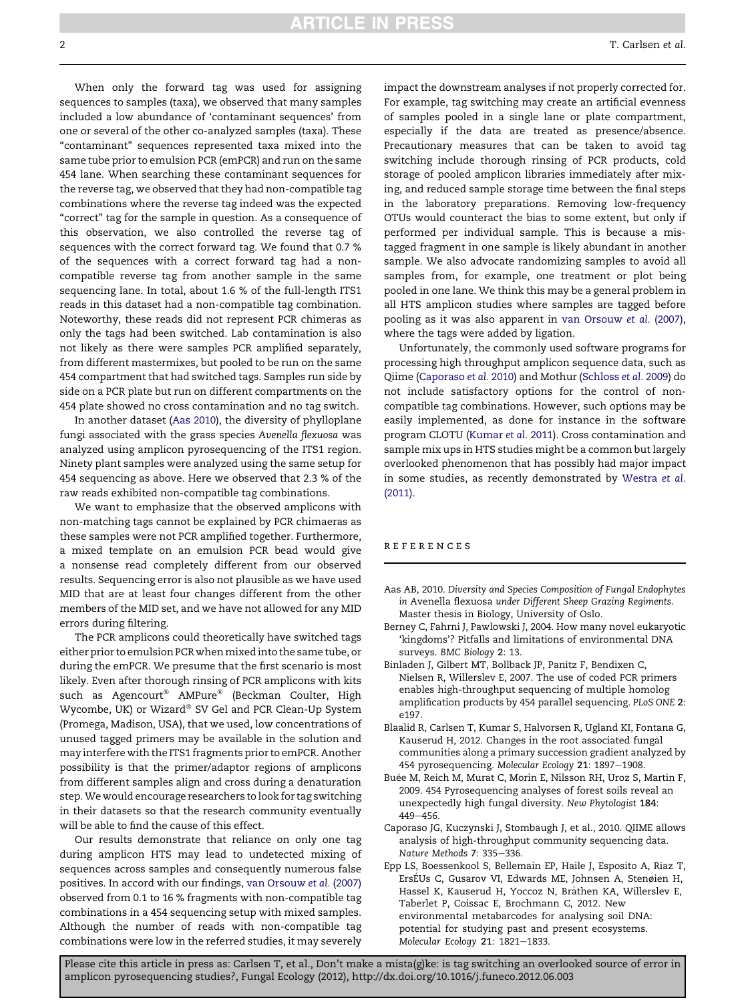### **ARTICLE IN PRESS**

<span id="page-1-0"></span>When only the forward tag was used for assigning sequences to samples (taxa), we observed that many samples included a low abundance of 'contaminant sequences' from one or several of the other co-analyzed samples (taxa). These "contaminant" sequences represented taxa mixed into the same tube prior to emulsion PCR (emPCR) and run on the same 454 lane. When searching these contaminant sequences for the reverse tag, we observed that they had non-compatible tag combinations where the reverse tag indeed was the expected "correct" tag for the sample in question. As a consequence of this observation, we also controlled the reverse tag of sequences with the correct forward tag. We found that 0.7 % of the sequences with a correct forward tag had a noncompatible reverse tag from another sample in the same sequencing lane. In total, about 1.6 % of the full-length ITS1 reads in this dataset had a non-compatible tag combination. Noteworthy, these reads did not represent PCR chimeras as only the tags had been switched. Lab contamination is also not likely as there were samples PCR amplified separately, from different mastermixes, but pooled to be run on the same 454 compartment that had switched tags. Samples run side by side on a PCR plate but run on different compartments on the 454 plate showed no cross contamination and no tag switch.

In another dataset (Aas 2010), the diversity of phylloplane fungi associated with the grass species Avenella flexuosa was analyzed using amplicon pyrosequencing of the ITS1 region. Ninety plant samples were analyzed using the same setup for 454 sequencing as above. Here we observed that 2.3 % of the raw reads exhibited non-compatible tag combinations.

We want to emphasize that the observed amplicons with non-matching tags cannot be explained by PCR chimaeras as these samples were not PCR amplified together. Furthermore, a mixed template on an emulsion PCR bead would give a nonsense read completely different from our observed results. Sequencing error is also not plausible as we have used MID that are at least four changes different from the other members of the MID set, and we have not allowed for any MID errors during filtering.

The PCR amplicons could theoretically have switched tags either prior to emulsion PCR when mixed into the same tube, or during the emPCR. We presume that the first scenario is most likely. Even after thorough rinsing of PCR amplicons with kits such as Agencourt<sup>®</sup> AMPure<sup>®</sup> (Beckman Coulter, High Wycombe, UK) or Wizard® SV Gel and PCR Clean-Up System (Promega, Madison, USA), that we used, low concentrations of unused tagged primers may be available in the solution and may interfere with the ITS1 fragments prior to emPCR. Another possibility is that the primer/adaptor regions of amplicons from different samples align and cross during a denaturation step.We would encourage researchers to look for tag switching in their datasets so that the research community eventually will be able to find the cause of this effect.

Our results demonstrate that reliance on only one tag during amplicon HTS may lead to undetected mixing of sequences across samples and consequently numerous false positives. In accord with our findings, [van Orsouw](#page-2-0) et al. (2007) observed from 0.1 to 16 % fragments with non-compatible tag combinations in a 454 sequencing setup with mixed samples. Although the number of reads with non-compatible tag combinations were low in the referred studies, it may severely

impact the downstream analyses if not properly corrected for. For example, tag switching may create an artificial evenness of samples pooled in a single lane or plate compartment, especially if the data are treated as presence/absence. Precautionary measures that can be taken to avoid tag switching include thorough rinsing of PCR products, cold storage of pooled amplicon libraries immediately after mixing, and reduced sample storage time between the final steps in the laboratory preparations. Removing low-frequency OTUs would counteract the bias to some extent, but only if performed per individual sample. This is because a mistagged fragment in one sample is likely abundant in another sample. We also advocate randomizing samples to avoid all samples from, for example, one treatment or plot being pooled in one lane. We think this may be a general problem in all HTS amplicon studies where samples are tagged before pooling as it was also apparent in [van Orsouw](#page-2-0) et al. (2007), where the tags were added by ligation.

Unfortunately, the commonly used software programs for processing high throughput amplicon sequence data, such as Qiime (Caporaso et al. 2010) and Mothur [\(Schloss](#page-2-0) et al. 2009) do not include satisfactory options for the control of noncompatible tag combinations. However, such options may be easily implemented, as done for instance in the software program CLOTU ([Kumar](#page-2-0) et al. 2011). Cross contamination and sample mix ups in HTS studies might be a common but largely overlooked phenomenon that has possibly had major impact in some studies, as recently demonstrated by [Westra](#page-2-0) et al. [\(2011\).](#page-2-0)

#### references

- Aas AB, 2010. Diversity and Species Composition of Fungal Endophytes in Avenella flexuosa under Different Sheep Grazing Regiments. Master thesis in Biology, University of Oslo.
- Berney C, Fahrni J, Pawlowski J, 2004. How many novel eukaryotic 'kingdoms'? Pitfalls and limitations of environmental DNA surveys. BMC Biology 2: 13.
- Binladen J, Gilbert MT, Bollback JP, Panitz F, Bendixen C, Nielsen R, Willerslev E, 2007. The use of coded PCR primers enables high-throughput sequencing of multiple homolog amplification products by 454 parallel sequencing. PLoS ONE 2: e197.
- Blaalid R, Carlsen T, Kumar S, Halvorsen R, Ugland KI, Fontana G, Kauserud H, 2012. Changes in the root associated fungal communities along a primary succession gradient analyzed by 454 pyrosequencing. Molecular Ecology 21: 1897-1908.
- Buée M, Reich M, Murat C, Morin E, Nilsson RH, Uroz S, Martin F, 2009. 454 Pyrosequencing analyses of forest soils reveal an unexpectedly high fungal diversity. New Phytologist 184: 449-456.
- Caporaso JG, Kuczynski J, Stombaugh J, et al., 2010. QIIME allows analysis of high-throughput community sequencing data. Nature Methods 7: 335-336.
- Epp LS, Boessenkool S, Bellemain EP, Haile J, Esposito A, Riaz T, ErsEUs C, Gusarov VI, Edwards ME, Johnsen A, Stenøien H, Hassel K, Kauserud H, Yoccoz N, Brathen KA, Willerslev E, Taberlet P, Coissac E, Brochmann C, 2012. New environmental metabarcodes for analysing soil DNA: potential for studying past and present ecosystems. Molecular Ecology 21: 1821-1833.

Please cite this article in press as: Carlsen T, et al., Don't make a mista(g)ke: is tag switching an overlooked source of error in amplicon pyrosequencing studies?, Fungal Ecology (2012), http://dx.doi.org/10.1016/j.funeco.2012.06.003